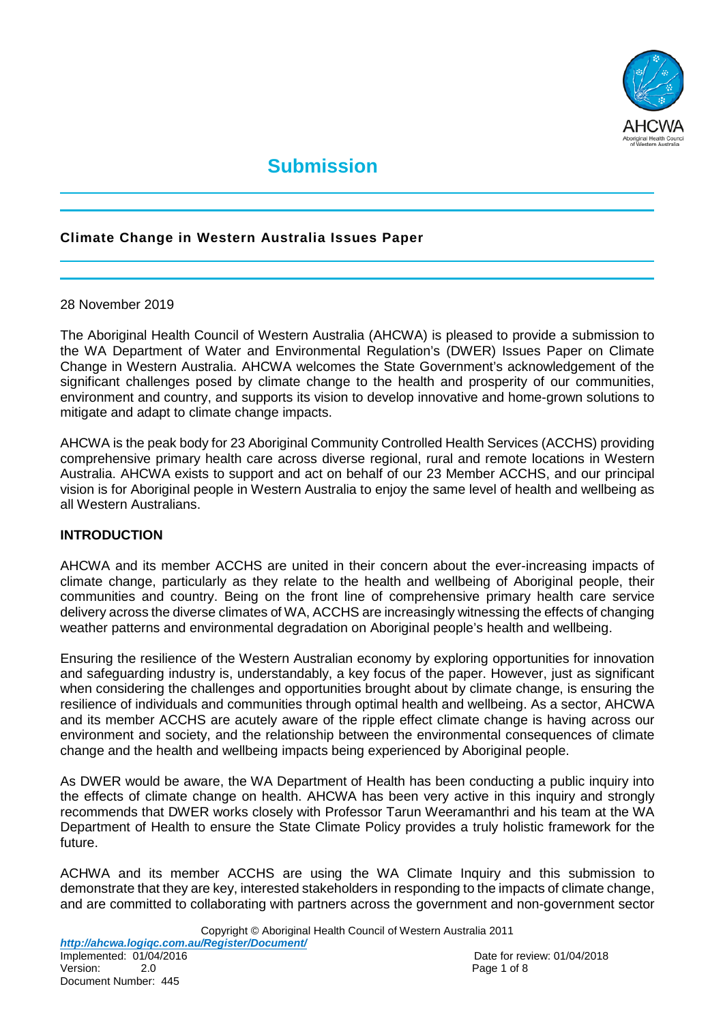

# **Submission**

## **Climate Change in Western Australia Issues Paper**

#### 28 November 2019

The Aboriginal Health Council of Western Australia (AHCWA) is pleased to provide a submission to the WA Department of Water and Environmental Regulation's (DWER) Issues Paper on Climate Change in Western Australia. AHCWA welcomes the State Government's acknowledgement of the significant challenges posed by climate change to the health and prosperity of our communities, environment and country, and supports its vision to develop innovative and home-grown solutions to mitigate and adapt to climate change impacts.

AHCWA is the peak body for 23 Aboriginal Community Controlled Health Services (ACCHS) providing comprehensive primary health care across diverse regional, rural and remote locations in Western Australia. AHCWA exists to support and act on behalf of our 23 Member ACCHS, and our principal vision is for Aboriginal people in Western Australia to enjoy the same level of health and wellbeing as all Western Australians.

#### **INTRODUCTION**

AHCWA and its member ACCHS are united in their concern about the ever-increasing impacts of climate change, particularly as they relate to the health and wellbeing of Aboriginal people, their communities and country. Being on the front line of comprehensive primary health care service delivery across the diverse climates of WA, ACCHS are increasingly witnessing the effects of changing weather patterns and environmental degradation on Aboriginal people's health and wellbeing.

Ensuring the resilience of the Western Australian economy by exploring opportunities for innovation and safeguarding industry is, understandably, a key focus of the paper. However, just as significant when considering the challenges and opportunities brought about by climate change, is ensuring the resilience of individuals and communities through optimal health and wellbeing. As a sector, AHCWA and its member ACCHS are acutely aware of the ripple effect climate change is having across our environment and society, and the relationship between the environmental consequences of climate change and the health and wellbeing impacts being experienced by Aboriginal people.

As DWER would be aware, the WA Department of Health has been conducting a public inquiry into the effects of climate change on health. AHCWA has been very active in this inquiry and strongly recommends that DWER works closely with Professor Tarun Weeramanthri and his team at the WA Department of Health to ensure the State Climate Policy provides a truly holistic framework for the future.

ACHWA and its member ACCHS are using the WA Climate Inquiry and this submission to demonstrate that they are key, interested stakeholders in responding to the impacts of climate change, and are committed to collaborating with partners across the government and non-government sector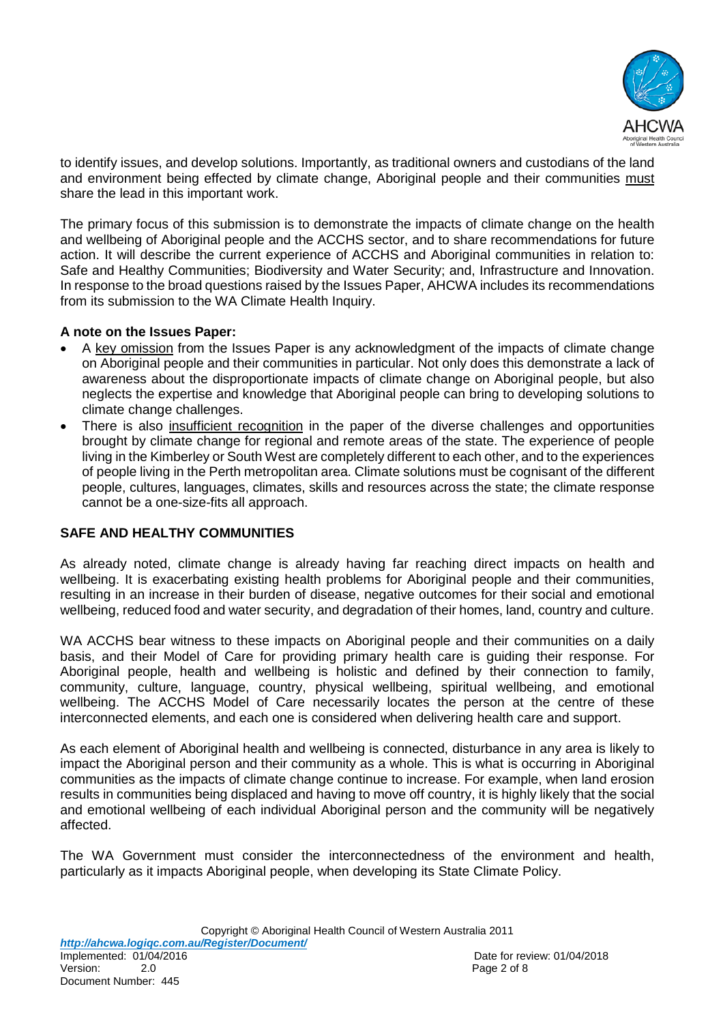

to identify issues, and develop solutions. Importantly, as traditional owners and custodians of the land and environment being effected by climate change, Aboriginal people and their communities must share the lead in this important work.

The primary focus of this submission is to demonstrate the impacts of climate change on the health and wellbeing of Aboriginal people and the ACCHS sector, and to share recommendations for future action. It will describe the current experience of ACCHS and Aboriginal communities in relation to: Safe and Healthy Communities; Biodiversity and Water Security; and, Infrastructure and Innovation. In response to the broad questions raised by the Issues Paper, AHCWA includes its recommendations from its submission to the WA Climate Health Inquiry.

#### **A note on the Issues Paper:**

- A key omission from the Issues Paper is any acknowledgment of the impacts of climate change on Aboriginal people and their communities in particular. Not only does this demonstrate a lack of awareness about the disproportionate impacts of climate change on Aboriginal people, but also neglects the expertise and knowledge that Aboriginal people can bring to developing solutions to climate change challenges.
- There is also insufficient recognition in the paper of the diverse challenges and opportunities brought by climate change for regional and remote areas of the state. The experience of people living in the Kimberley or South West are completely different to each other, and to the experiences of people living in the Perth metropolitan area. Climate solutions must be cognisant of the different people, cultures, languages, climates, skills and resources across the state; the climate response cannot be a one-size-fits all approach.

## **SAFE AND HEALTHY COMMUNITIES**

As already noted, climate change is already having far reaching direct impacts on health and wellbeing. It is exacerbating existing health problems for Aboriginal people and their communities, resulting in an increase in their burden of disease, negative outcomes for their social and emotional wellbeing, reduced food and water security, and degradation of their homes, land, country and culture.

WA ACCHS bear witness to these impacts on Aboriginal people and their communities on a daily basis, and their Model of Care for providing primary health care is guiding their response. For Aboriginal people, health and wellbeing is holistic and defined by their connection to family, community, culture, language, country, physical wellbeing, spiritual wellbeing, and emotional wellbeing. The ACCHS Model of Care necessarily locates the person at the centre of these interconnected elements, and each one is considered when delivering health care and support.

As each element of Aboriginal health and wellbeing is connected, disturbance in any area is likely to impact the Aboriginal person and their community as a whole. This is what is occurring in Aboriginal communities as the impacts of climate change continue to increase. For example, when land erosion results in communities being displaced and having to move off country, it is highly likely that the social and emotional wellbeing of each individual Aboriginal person and the community will be negatively affected.

The WA Government must consider the interconnectedness of the environment and health, particularly as it impacts Aboriginal people, when developing its State Climate Policy.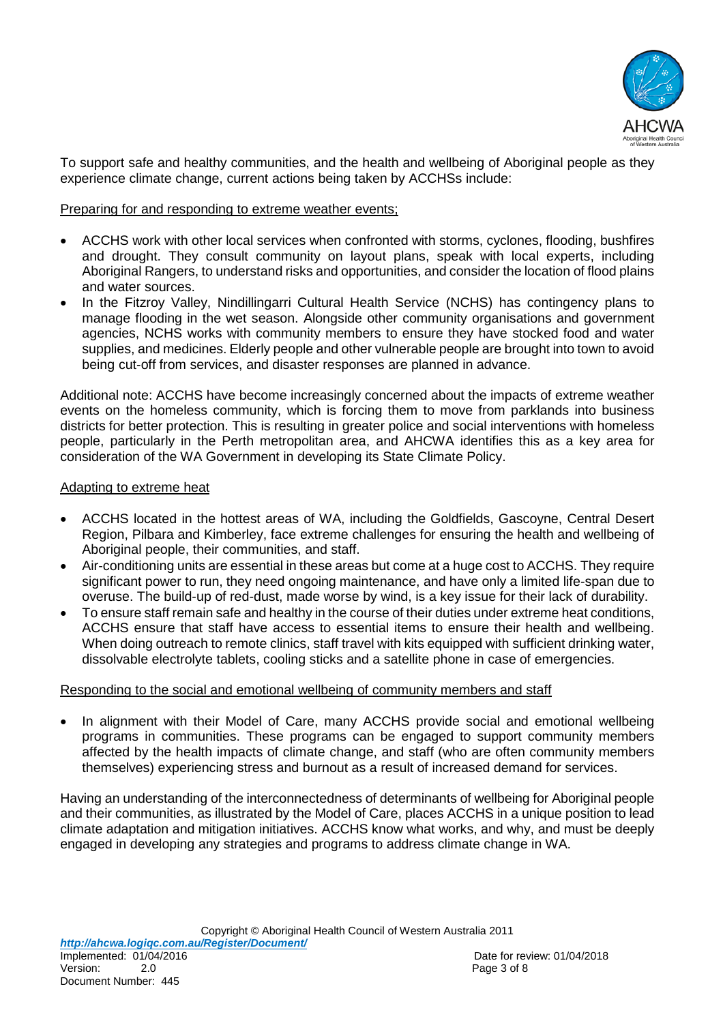

To support safe and healthy communities, and the health and wellbeing of Aboriginal people as they experience climate change, current actions being taken by ACCHSs include:

#### Preparing for and responding to extreme weather events;

- ACCHS work with other local services when confronted with storms, cyclones, flooding, bushfires and drought. They consult community on layout plans, speak with local experts, including Aboriginal Rangers, to understand risks and opportunities, and consider the location of flood plains and water sources.
- In the Fitzroy Valley, Nindillingarri Cultural Health Service (NCHS) has contingency plans to manage flooding in the wet season. Alongside other community organisations and government agencies, NCHS works with community members to ensure they have stocked food and water supplies, and medicines. Elderly people and other vulnerable people are brought into town to avoid being cut-off from services, and disaster responses are planned in advance.

Additional note: ACCHS have become increasingly concerned about the impacts of extreme weather events on the homeless community, which is forcing them to move from parklands into business districts for better protection. This is resulting in greater police and social interventions with homeless people, particularly in the Perth metropolitan area, and AHCWA identifies this as a key area for consideration of the WA Government in developing its State Climate Policy.

#### Adapting to extreme heat

- ACCHS located in the hottest areas of WA, including the Goldfields, Gascoyne, Central Desert Region, Pilbara and Kimberley, face extreme challenges for ensuring the health and wellbeing of Aboriginal people, their communities, and staff.
- Air-conditioning units are essential in these areas but come at a huge cost to ACCHS. They require significant power to run, they need ongoing maintenance, and have only a limited life-span due to overuse. The build-up of red-dust, made worse by wind, is a key issue for their lack of durability.
- To ensure staff remain safe and healthy in the course of their duties under extreme heat conditions, ACCHS ensure that staff have access to essential items to ensure their health and wellbeing. When doing outreach to remote clinics, staff travel with kits equipped with sufficient drinking water, dissolvable electrolyte tablets, cooling sticks and a satellite phone in case of emergencies.

#### Responding to the social and emotional wellbeing of community members and staff

In alignment with their Model of Care, many ACCHS provide social and emotional wellbeing programs in communities. These programs can be engaged to support community members affected by the health impacts of climate change, and staff (who are often community members themselves) experiencing stress and burnout as a result of increased demand for services.

Having an understanding of the interconnectedness of determinants of wellbeing for Aboriginal people and their communities, as illustrated by the Model of Care, places ACCHS in a unique position to lead climate adaptation and mitigation initiatives. ACCHS know what works, and why, and must be deeply engaged in developing any strategies and programs to address climate change in WA.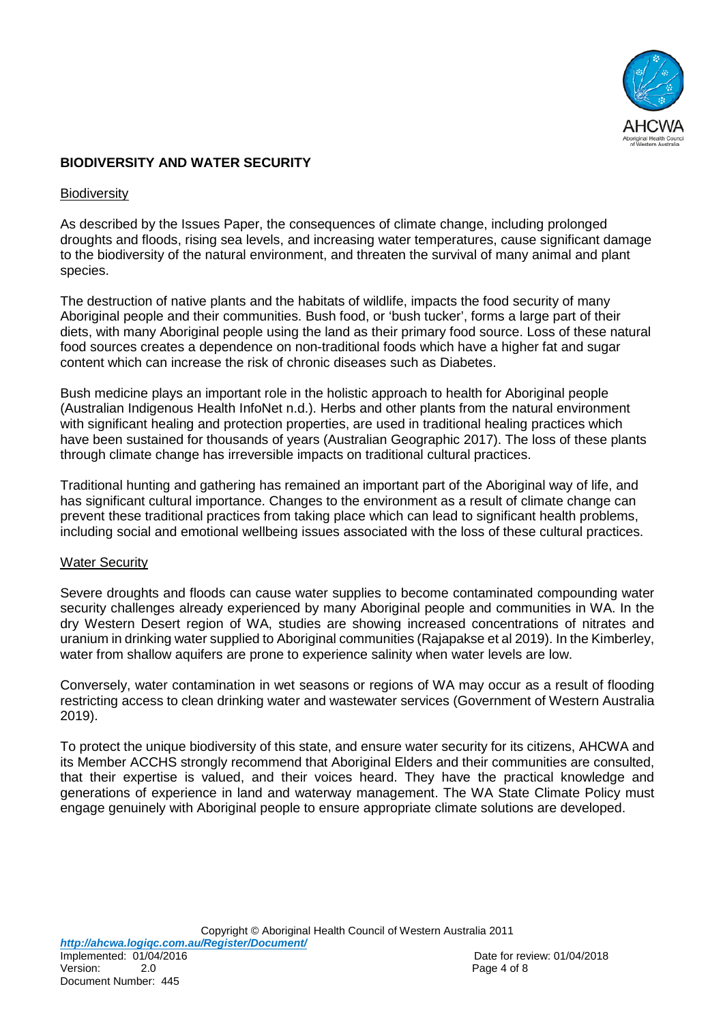

## **BIODIVERSITY AND WATER SECURITY**

#### **Biodiversity**

As described by the Issues Paper, the consequences of climate change, including prolonged droughts and floods, rising sea levels, and increasing water temperatures, cause significant damage to the biodiversity of the natural environment, and threaten the survival of many animal and plant species.

The destruction of native plants and the habitats of wildlife, impacts the food security of many Aboriginal people and their communities. Bush food, or 'bush tucker', forms a large part of their diets, with many Aboriginal people using the land as their primary food source. Loss of these natural food sources creates a dependence on non-traditional foods which have a higher fat and sugar content which can increase the risk of chronic diseases such as Diabetes.

Bush medicine plays an important role in the holistic approach to health for Aboriginal people (Australian Indigenous Health InfoNet n.d.). Herbs and other plants from the natural environment with significant healing and protection properties, are used in traditional healing practices which have been sustained for thousands of years (Australian Geographic 2017). The loss of these plants through climate change has irreversible impacts on traditional cultural practices.

Traditional hunting and gathering has remained an important part of the Aboriginal way of life, and has significant cultural importance. Changes to the environment as a result of climate change can prevent these traditional practices from taking place which can lead to significant health problems, including social and emotional wellbeing issues associated with the loss of these cultural practices.

#### Water Security

Severe droughts and floods can cause water supplies to become contaminated compounding water security challenges already experienced by many Aboriginal people and communities in WA. In the dry Western Desert region of WA, studies are showing increased concentrations of nitrates and uranium in drinking water supplied to Aboriginal communities (Rajapakse et al 2019). In the Kimberley, water from shallow aquifers are prone to experience salinity when water levels are low.

Conversely, water contamination in wet seasons or regions of WA may occur as a result of flooding restricting access to clean drinking water and wastewater services (Government of Western Australia 2019).

To protect the unique biodiversity of this state, and ensure water security for its citizens, AHCWA and its Member ACCHS strongly recommend that Aboriginal Elders and their communities are consulted, that their expertise is valued, and their voices heard. They have the practical knowledge and generations of experience in land and waterway management. The WA State Climate Policy must engage genuinely with Aboriginal people to ensure appropriate climate solutions are developed.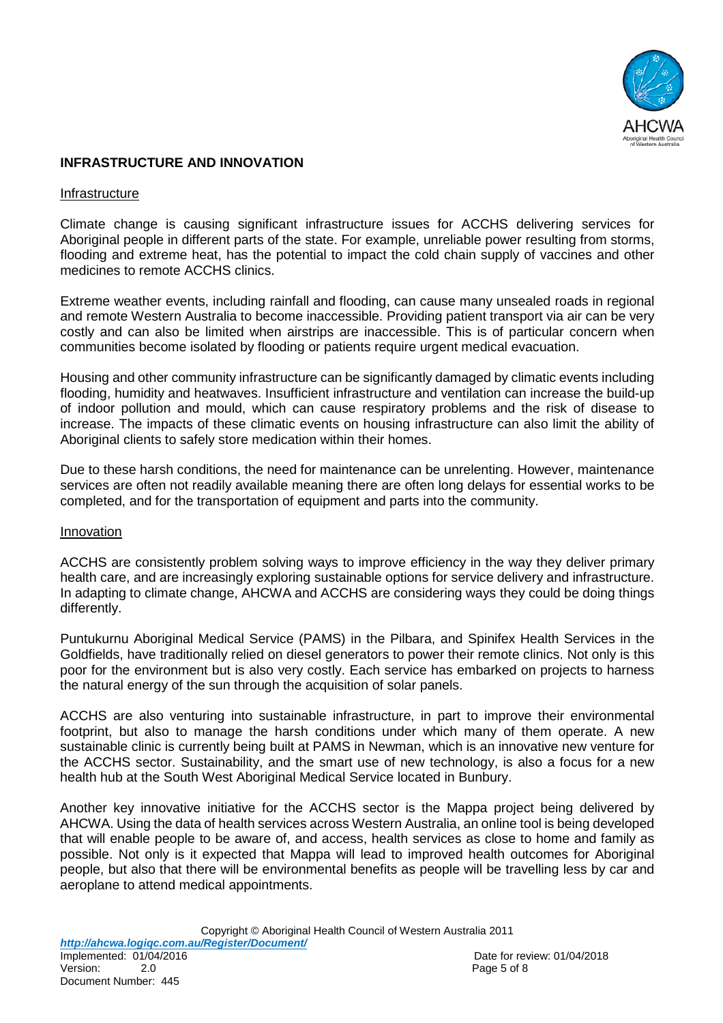

#### **INFRASTRUCTURE AND INNOVATION**

#### Infrastructure

Climate change is causing significant infrastructure issues for ACCHS delivering services for Aboriginal people in different parts of the state. For example, unreliable power resulting from storms, flooding and extreme heat, has the potential to impact the cold chain supply of vaccines and other medicines to remote ACCHS clinics.

Extreme weather events, including rainfall and flooding, can cause many unsealed roads in regional and remote Western Australia to become inaccessible. Providing patient transport via air can be very costly and can also be limited when airstrips are inaccessible. This is of particular concern when communities become isolated by flooding or patients require urgent medical evacuation.

Housing and other community infrastructure can be significantly damaged by climatic events including flooding, humidity and heatwaves. Insufficient infrastructure and ventilation can increase the build-up of indoor pollution and mould, which can cause respiratory problems and the risk of disease to increase. The impacts of these climatic events on housing infrastructure can also limit the ability of Aboriginal clients to safely store medication within their homes.

Due to these harsh conditions, the need for maintenance can be unrelenting. However, maintenance services are often not readily available meaning there are often long delays for essential works to be completed, and for the transportation of equipment and parts into the community.

#### Innovation

ACCHS are consistently problem solving ways to improve efficiency in the way they deliver primary health care, and are increasingly exploring sustainable options for service delivery and infrastructure. In adapting to climate change, AHCWA and ACCHS are considering ways they could be doing things differently.

Puntukurnu Aboriginal Medical Service (PAMS) in the Pilbara, and Spinifex Health Services in the Goldfields, have traditionally relied on diesel generators to power their remote clinics. Not only is this poor for the environment but is also very costly. Each service has embarked on projects to harness the natural energy of the sun through the acquisition of solar panels.

ACCHS are also venturing into sustainable infrastructure, in part to improve their environmental footprint, but also to manage the harsh conditions under which many of them operate. A new sustainable clinic is currently being built at PAMS in Newman, which is an innovative new venture for the ACCHS sector. Sustainability, and the smart use of new technology, is also a focus for a new health hub at the South West Aboriginal Medical Service located in Bunbury.

Another key innovative initiative for the ACCHS sector is the Mappa project being delivered by AHCWA. Using the data of health services across Western Australia, an online tool is being developed that will enable people to be aware of, and access, health services as close to home and family as possible. Not only is it expected that Mappa will lead to improved health outcomes for Aboriginal people, but also that there will be environmental benefits as people will be travelling less by car and aeroplane to attend medical appointments.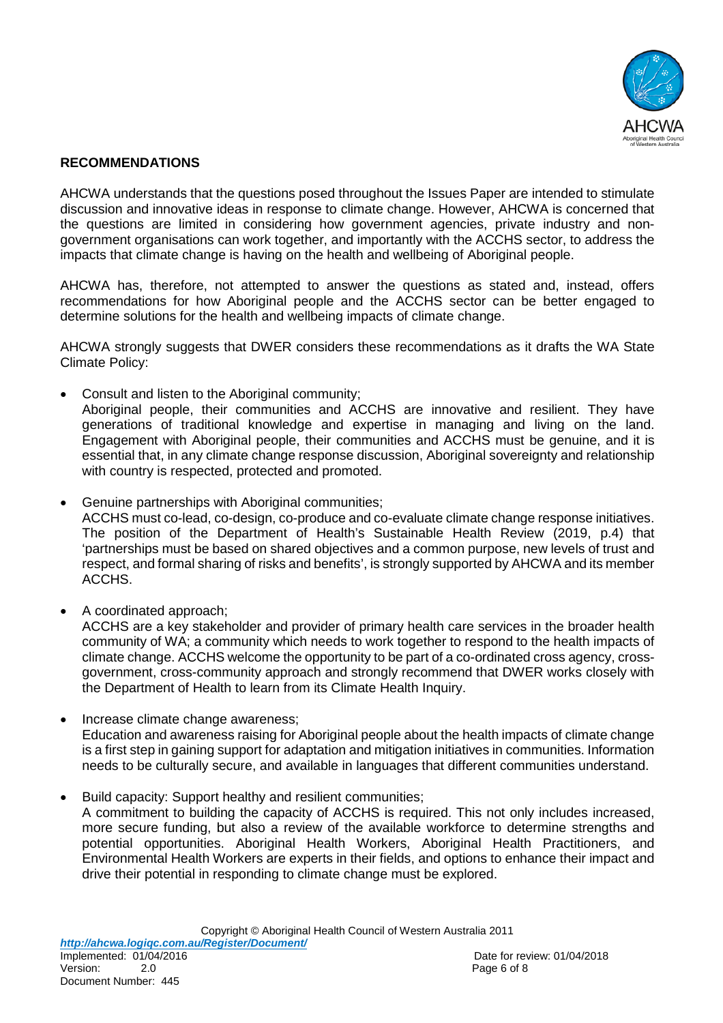

## **RECOMMENDATIONS**

AHCWA understands that the questions posed throughout the Issues Paper are intended to stimulate discussion and innovative ideas in response to climate change. However, AHCWA is concerned that the questions are limited in considering how government agencies, private industry and nongovernment organisations can work together, and importantly with the ACCHS sector, to address the impacts that climate change is having on the health and wellbeing of Aboriginal people.

AHCWA has, therefore, not attempted to answer the questions as stated and, instead, offers recommendations for how Aboriginal people and the ACCHS sector can be better engaged to determine solutions for the health and wellbeing impacts of climate change.

AHCWA strongly suggests that DWER considers these recommendations as it drafts the WA State Climate Policy:

• Consult and listen to the Aboriginal community;

Aboriginal people, their communities and ACCHS are innovative and resilient. They have generations of traditional knowledge and expertise in managing and living on the land. Engagement with Aboriginal people, their communities and ACCHS must be genuine, and it is essential that, in any climate change response discussion, Aboriginal sovereignty and relationship with country is respected, protected and promoted.

• Genuine partnerships with Aboriginal communities;

ACCHS must co-lead, co-design, co-produce and co-evaluate climate change response initiatives. The position of the Department of Health's Sustainable Health Review (2019, p.4) that 'partnerships must be based on shared objectives and a common purpose, new levels of trust and respect, and formal sharing of risks and benefits', is strongly supported by AHCWA and its member ACCHS.

• A coordinated approach;

ACCHS are a key stakeholder and provider of primary health care services in the broader health community of WA; a community which needs to work together to respond to the health impacts of climate change. ACCHS welcome the opportunity to be part of a co-ordinated cross agency, crossgovernment, cross-community approach and strongly recommend that DWER works closely with the Department of Health to learn from its Climate Health Inquiry.

- Increase climate change awareness; Education and awareness raising for Aboriginal people about the health impacts of climate change is a first step in gaining support for adaptation and mitigation initiatives in communities. Information needs to be culturally secure, and available in languages that different communities understand.
- Build capacity: Support healthy and resilient communities;

A commitment to building the capacity of ACCHS is required. This not only includes increased, more secure funding, but also a review of the available workforce to determine strengths and potential opportunities. Aboriginal Health Workers, Aboriginal Health Practitioners, and Environmental Health Workers are experts in their fields, and options to enhance their impact and drive their potential in responding to climate change must be explored.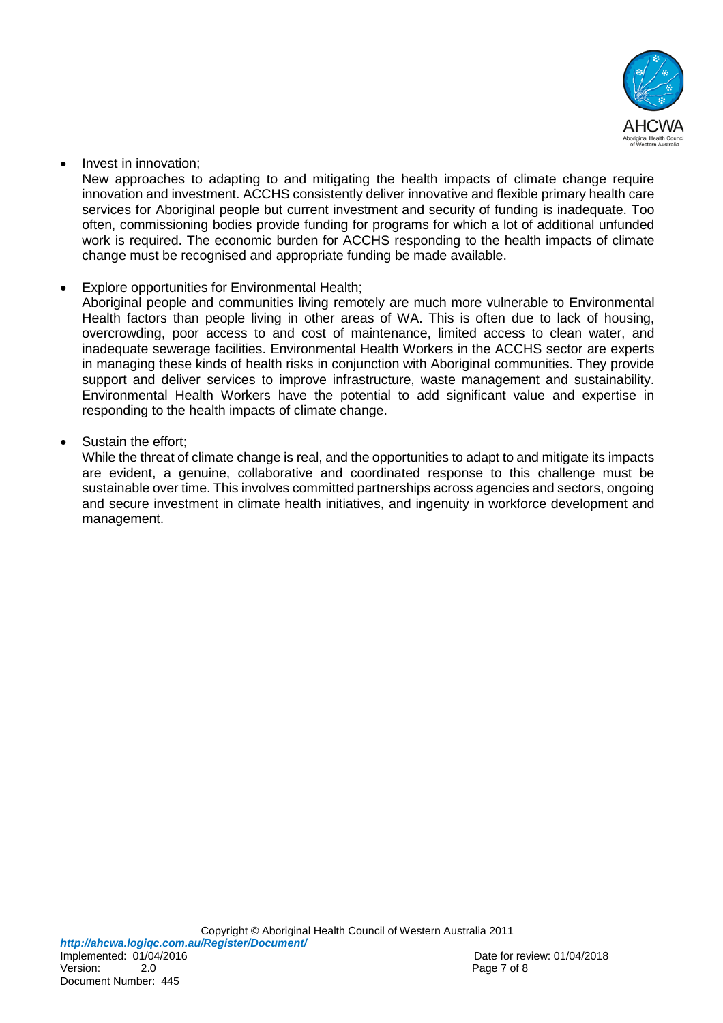

## • Invest in innovation;

New approaches to adapting to and mitigating the health impacts of climate change require innovation and investment. ACCHS consistently deliver innovative and flexible primary health care services for Aboriginal people but current investment and security of funding is inadequate. Too often, commissioning bodies provide funding for programs for which a lot of additional unfunded work is required. The economic burden for ACCHS responding to the health impacts of climate change must be recognised and appropriate funding be made available.

Explore opportunities for Environmental Health;

Aboriginal people and communities living remotely are much more vulnerable to Environmental Health factors than people living in other areas of WA. This is often due to lack of housing, overcrowding, poor access to and cost of maintenance, limited access to clean water, and inadequate sewerage facilities. Environmental Health Workers in the ACCHS sector are experts in managing these kinds of health risks in conjunction with Aboriginal communities. They provide support and deliver services to improve infrastructure, waste management and sustainability. Environmental Health Workers have the potential to add significant value and expertise in responding to the health impacts of climate change.

Sustain the effort:

While the threat of climate change is real, and the opportunities to adapt to and mitigate its impacts are evident, a genuine, collaborative and coordinated response to this challenge must be sustainable over time. This involves committed partnerships across agencies and sectors, ongoing and secure investment in climate health initiatives, and ingenuity in workforce development and management.